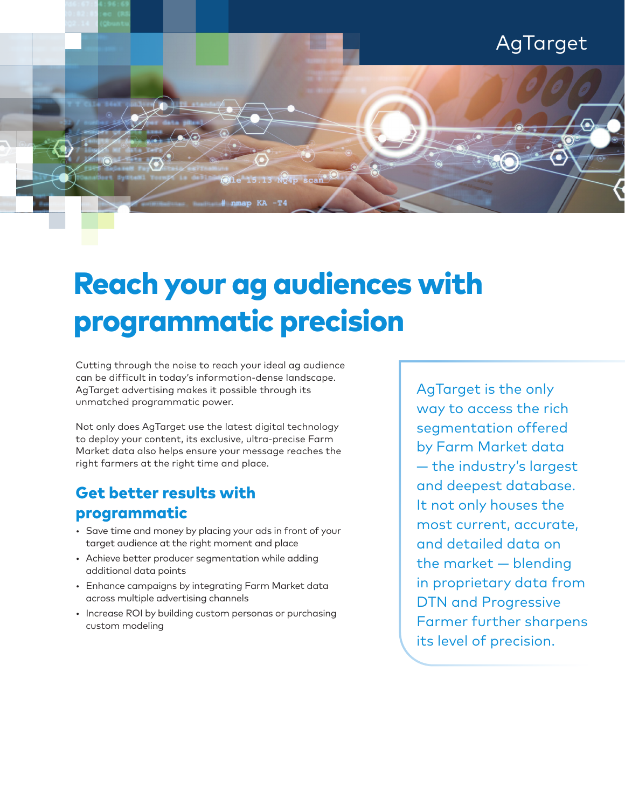

## Reach your ag audiences with programmatic precision

Cutting through the noise to reach your ideal ag audience can be difficult in today's information-dense landscape. AgTarget advertising makes it possible through its unmatched programmatic power.

Not only does AgTarget use the latest digital technology to deploy your content, its exclusive, ultra-precise Farm Market data also helps ensure your message reaches the right farmers at the right time and place.

## Get better results with programmatic

- Save time and money by placing your ads in front of your target audience at the right moment and place
- Achieve better producer segmentation while adding additional data points
- Enhance campaigns by integrating Farm Market data across multiple advertising channels
- Increase ROI by building custom personas or purchasing custom modeling

AgTarget is the only way to access the rich segmentation offered by Farm Market data — the industry's largest and deepest database. It not only houses the most current, accurate, and detailed data on the market — blending in proprietary data from DTN and Progressive Farmer further sharpens its level of precision.